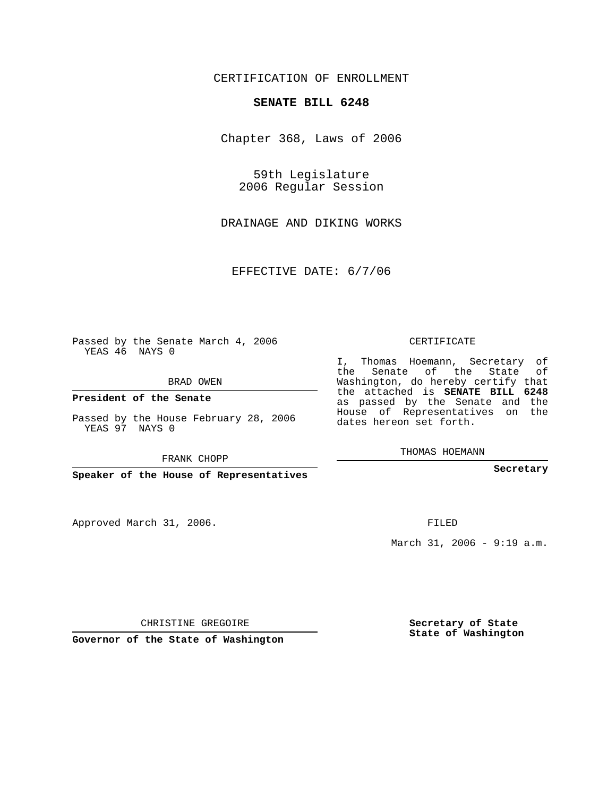## CERTIFICATION OF ENROLLMENT

## **SENATE BILL 6248**

Chapter 368, Laws of 2006

59th Legislature 2006 Regular Session

DRAINAGE AND DIKING WORKS

EFFECTIVE DATE: 6/7/06

Passed by the Senate March 4, 2006 YEAS 46 NAYS 0

BRAD OWEN

**President of the Senate**

Passed by the House February 28, 2006 YEAS 97 NAYS 0

FRANK CHOPP

**Speaker of the House of Representatives**

Approved March 31, 2006.

CERTIFICATE

I, Thomas Hoemann, Secretary of the Senate of the State of Washington, do hereby certify that the attached is **SENATE BILL 6248** as passed by the Senate and the House of Representatives on the dates hereon set forth.

THOMAS HOEMANN

**Secretary**

FILED

March 31, 2006 - 9:19 a.m.

CHRISTINE GREGOIRE

**Governor of the State of Washington**

**Secretary of State State of Washington**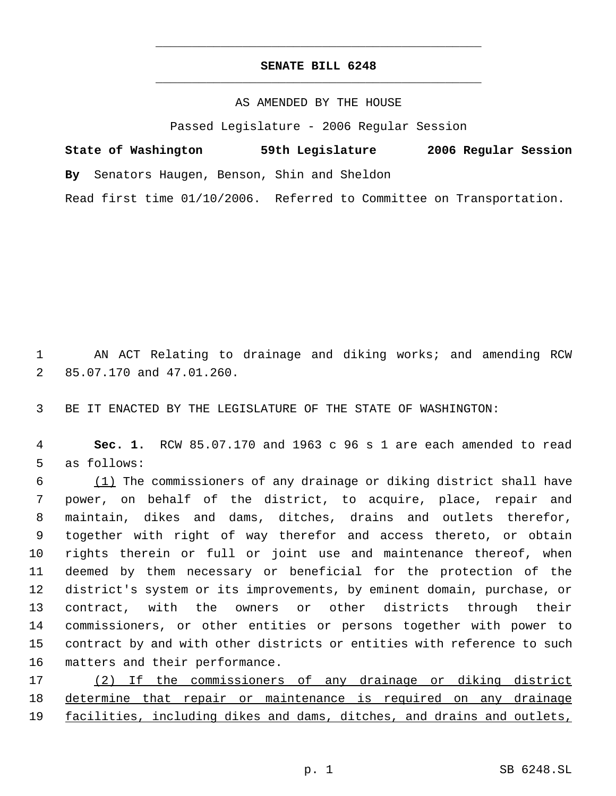## **SENATE BILL 6248** \_\_\_\_\_\_\_\_\_\_\_\_\_\_\_\_\_\_\_\_\_\_\_\_\_\_\_\_\_\_\_\_\_\_\_\_\_\_\_\_\_\_\_\_\_

\_\_\_\_\_\_\_\_\_\_\_\_\_\_\_\_\_\_\_\_\_\_\_\_\_\_\_\_\_\_\_\_\_\_\_\_\_\_\_\_\_\_\_\_\_

AS AMENDED BY THE HOUSE

Passed Legislature - 2006 Regular Session

**State of Washington 59th Legislature 2006 Regular Session By** Senators Haugen, Benson, Shin and Sheldon Read first time 01/10/2006. Referred to Committee on Transportation.

 1 AN ACT Relating to drainage and diking works; and amending RCW 2 85.07.170 and 47.01.260.

3 BE IT ENACTED BY THE LEGISLATURE OF THE STATE OF WASHINGTON:

 4 **Sec. 1.** RCW 85.07.170 and 1963 c 96 s 1 are each amended to read 5 as follows:

 $\frac{(1)}{1}$  The commissioners of any drainage or diking district shall have power, on behalf of the district, to acquire, place, repair and maintain, dikes and dams, ditches, drains and outlets therefor, together with right of way therefor and access thereto, or obtain rights therein or full or joint use and maintenance thereof, when deemed by them necessary or beneficial for the protection of the district's system or its improvements, by eminent domain, purchase, or contract, with the owners or other districts through their commissioners, or other entities or persons together with power to contract by and with other districts or entities with reference to such matters and their performance.

17 (2) If the commissioners of any drainage or diking district 18 determine that repair or maintenance is required on any drainage 19 facilities, including dikes and dams, ditches, and drains and outlets,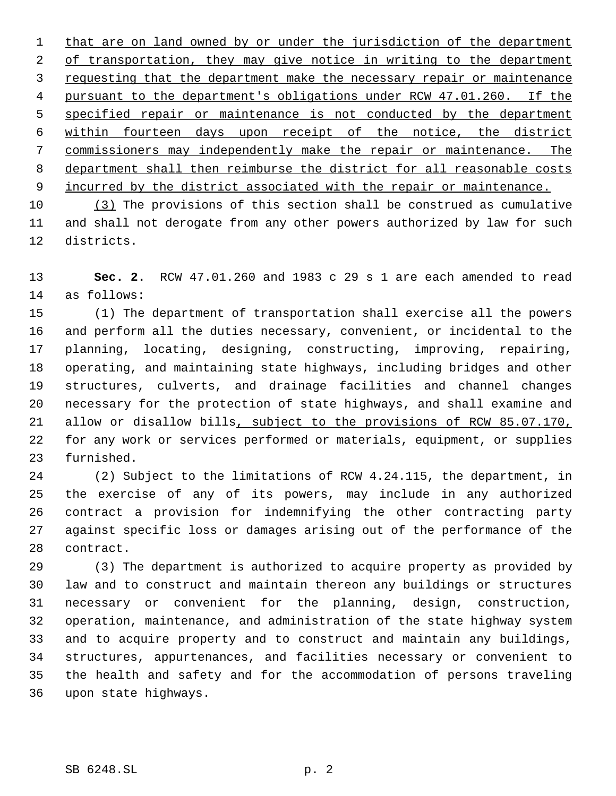1 that are on land owned by or under the jurisdiction of the department 2 of transportation, they may give notice in writing to the department requesting that the department make the necessary repair or maintenance 4 pursuant to the department's obligations under RCW 47.01.260. If the 5 specified repair or maintenance is not conducted by the department within fourteen days upon receipt of the notice, the district commissioners may independently make the repair or maintenance. The department shall then reimburse the district for all reasonable costs 9 incurred by the district associated with the repair or maintenance.

 (3) The provisions of this section shall be construed as cumulative and shall not derogate from any other powers authorized by law for such districts.

 **Sec. 2.** RCW 47.01.260 and 1983 c 29 s 1 are each amended to read as follows:

 (1) The department of transportation shall exercise all the powers and perform all the duties necessary, convenient, or incidental to the planning, locating, designing, constructing, improving, repairing, operating, and maintaining state highways, including bridges and other structures, culverts, and drainage facilities and channel changes necessary for the protection of state highways, and shall examine and allow or disallow bills, subject to the provisions of RCW 85.07.170, for any work or services performed or materials, equipment, or supplies furnished.

 (2) Subject to the limitations of RCW 4.24.115, the department, in the exercise of any of its powers, may include in any authorized contract a provision for indemnifying the other contracting party against specific loss or damages arising out of the performance of the contract.

 (3) The department is authorized to acquire property as provided by law and to construct and maintain thereon any buildings or structures necessary or convenient for the planning, design, construction, operation, maintenance, and administration of the state highway system and to acquire property and to construct and maintain any buildings, structures, appurtenances, and facilities necessary or convenient to the health and safety and for the accommodation of persons traveling upon state highways.